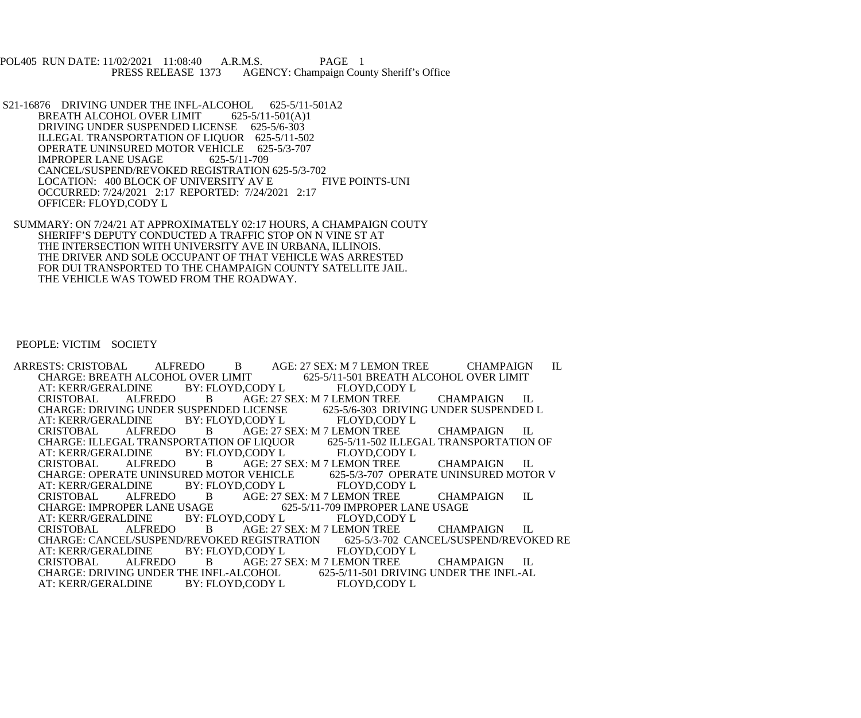POL405 RUN DATE: 11/02/2021 11:08:40 A.R.M.S. PAGE 1<br>PRESS RELEASE 1373 AGENCY: Champaign Cou AGENCY: Champaign County Sheriff's Office

- S21-16876 DRIVING UNDER THE INFL-ALCOHOL 625-5/11-501A2<br>BREATH ALCOHOL OVER LIMIT 625-5/11-501(A)1 BREATH ALCOHOL OVER LIMIT DRIVING UNDER SUSPENDED LICENSE 625-5/6-303 ILLEGAL TRANSPORTATION OF LIQUOR 625-5/11-502 OPERATE UNINSURED MOTOR VEHICLE 625-5/3-707<br>IMPROPER LANE USAGE 625-5/11-709 IMPROPER LANE USAGE CANCEL/SUSPEND/REVOKED REGISTRATION 625-5/3-702<br>LOCATION: 400 BLOCK OF UNIVERSITY AV E FIVE POINTS-UNI LOCATION: 400 BLOCK OF UNIVERSITY AV E OCCURRED: 7/24/2021 2:17 REPORTED: 7/24/2021 2:17 OFFICER: FLOYD,CODY L
- SUMMARY: ON 7/24/21 AT APPROXIMATELY 02:17 HOURS, A CHAMPAIGN COUTY SHERIFF'S DEPUTY CONDUCTED A TRAFFIC STOP ON N VINE ST AT THE INTERSECTION WITH UNIVERSITY AVE IN URBANA, ILLINOIS. THE DRIVER AND SOLE OCCUPANT OF THAT VEHICLE WAS ARRESTED FOR DUI TRANSPORTED TO THE CHAMPAIGN COUNTY SATELLITE JAIL. THE VEHICLE WAS TOWED FROM THE ROADWAY.

PEOPLE: VICTIM SOCIETY

ARRESTS: CRISTOBAL ALFREDO B AGE: 27 SEX: M 7 LEMON TREE CHAMPAIGN IL CHARGE: BREATH ALCOHOL OVER LIMIT CHARGE: CHARGE: GOS-5/11-501 BREATH ALCOHOL OVER LIMIT BY: FLOYD,CODY L AT: KERR/GERALDINE BY: FLORISTOBAL ALFREDO B AGE: 27 SEX: M 7 LEMON TREE CHAMPAIGN IL<br>LICENSE 625-5/6-303 DRIVING UNDER SUSPENDED L CHARGE: DRIVING UNDER SUSPENDED LICENSE 625-5/6-303 DRIVIN<br>AT: KERR/GERALDINE BY: FLOYD,CODY L FLOYD,CODY L AT: KERR/GERALDINE<br>CRISTOBAL ALFRI ALFREDO B AGE: 27 SEX: M 7 LEMON TREE CHAMPAIGN IL<br>AL TRANSPORTATION OF LIQUOR 625-5/11-502 ILLEGAL TRANSPORTATION OF CHARGE: ILLEGAL TRANSPORTATION OF LIQUOR 625-5/11-502 ILLEG<br>AT: KERR/GERALDINE BY: FLOYD,CODY L FLOYD,CODY L AT: KERR/GERALDINE BY: FLORISTOBAL ALFREDO B AGE: 27 SEX: M 7 LEMON TREE CHAMPAIGN IL<br>R VEHICLE 625-5/3-707 OPERATE UNINSURED MOTOR V CHARGE: OPERATE UNINSURED MOTOR VEHICLE<br>AT: KERR/GERALDINE BY: FLOYD,CODY L AT: KERR/GERALDINE BY: FLOYD,CODY L FLOYD,CODY L<br>CRISTOBAL ALFREDO B AGE: 27 SEX: M 7 LEMON TREE CRISTOBAL ALFREDO B AGE: 27 SEX: M 7 LEMON TREE CHAMPAIGN IL CHARGE: IMPROPER LANE USAGE 625-5/11-709 IMPROPER LANE USAGE USAGE 625-5/11-709 IMPROPER LANE USAGE<br>BY: FLOYD,CODY L FLOYD,CODY L AT: KERR/GERALDINE BY: FLORISTOBAL ALFREDO B AGE: 27 SEX: M 7 LEMON TREE CHAMPAIGN IL<br>REGISTRATION 625-5/3-702 CANCEL/SUSPEND/REVOKED RE CHARGE: CANCEL/SUSPEND/REVOKED REGISTRATION 625-5/3-702 CA<br>AT: KERR/GERALDINE BY: FLOYD,CODY L FLOYD,CODY L AT: KERR/GERALDINE BY: FLOYD,CODY L FLOYD,CODY L CRISTOBAL ALFREDO B AGE: 27 SEX: M 7 LEMON TREE CHAMPAIGN IL CHARGE: DRIVING UNDER THE INFL-AL CHARGE: DRIVING UNDER THE INFL-ALCOHOL 625-5/11-501 DRIVIN<br>AT: KERR/GERALDINE BY: FLOYD,CODY L FLOYD,CODY L AT: KERR/GERALDINE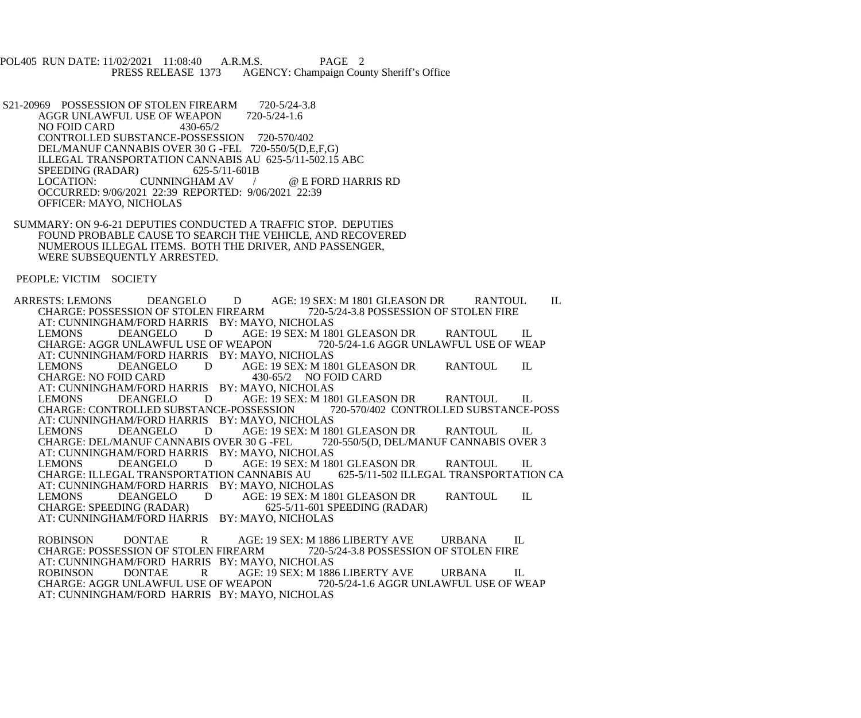POL405 RUN DATE: 11/02/2021 11:08:40 A.R.M.S. PAGE 2<br>PRESS RELEASE 1373 AGENCY: Champaign Cou AGENCY: Champaign County Sheriff's Office

S21-20969 POSSESSION OF STOLEN FIREARM 720-5/24-3.8<br>AGGR UNLAWFUL USE OF WEAPON 720-5/24-1.6 AGGR UNLAWFUL USE OF WEAPON NO FOID CARD 430-65/2 CONTROLLED SUBSTANCE-POSSESSION 720-570/402 DEL/MANUF CANNABIS OVER 30 G -FEL 720-550/5(D,E,F,G) ILLEGAL TRANSPORTATION CANNABIS AU 625-5/11-502.15 ABC<br>SPEEDING (RADAR) 625-5/11-601B SPEEDING (RADAR) 625-5/11-6<br>LOCATION: CUNNINGHAM AV / @ E FORD HARRIS RD OCCURRED: 9/06/2021 22:39 REPORTED: 9/06/2021 22:39 OFFICER: MAYO, NICHOLAS

 SUMMARY: ON 9-6-21 DEPUTIES CONDUCTED A TRAFFIC STOP. DEPUTIES FOUND PROBABLE CAUSE TO SEARCH THE VEHICLE, AND RECOVERED NUMEROUS ILLEGAL ITEMS. BOTH THE DRIVER, AND PASSENGER, WERE SUBSEQUENTLY ARRESTED.

PEOPLE: VICTIM SOCIETY

ARRESTS: LEMONS DEANGELO D AGE: 19 SEX: M 1801 GLEASON DR RANTOUL IL<br>CHARGE: POSSESSION OF STOLEN FIREARM 720-5/24-3.8 POSSESSION OF STOLEN FIRE CHARGE: POSSESSION OF STOLEN FIREARM AT: CUNNINGHAM/FORD HARRIS BY: MAYO, NICHOLAS<br>LEMONS DEANGELO DAGE: 19 SEX: M 180 AGE: 19 SEX: M 1801 GLEASON DR RANTOUL IL<br>EAPON 720-5/24-1.6 AGGR UNLAWFUL USE OF WEAP CHARGE: AGGR UNLAWFUL USE OF WEAPON AT: CUNNINGHAM/FORD HARRIS BY: MAYO, NICHOLAS LEMONS DEANGELO D AGE: 19 SEX: M 1801 GLEASON DR RANTOUL IL<br>CHARGE: NO FOID CARD 430-65/2 NO FOID CARD CHARGE: NO FOID CARD AT: CUNNINGHAM/FORD HARRIS BY: MAYO, NICHOLAS<br>LEMONS DEANGELO DAGE: 19 SEX: M 180 AGE: 19 SEX: M 1801 GLEASON DR<br>
20-570/402 CONTROLLED SUBSTANCE-POSS CHARGE: CONTROLLED SUBSTANCE-POSSESSION AT: CUNNINGHAM/FORD HARRIS BY: MAYO, NICHOLAS<br>LEMONS DEANGELO DAGE: 19 SEX: M 180 AGE: 19 SEX: M 1801 GLEASON DR RANTOUL IL<br>R 30 G -FEL 720-550/5(D, DEL/MANUF CANNABIS OVER 3 CHARGE: DEL/MANUF CANNABIS OVER 30 G -FEL AT: CUNNINGHAM/FORD HARRIS BY: MAYO, NICHOLAS<br>LEMONS DEANGELO DAGE: 19 SEX: M 180 AGE: 19 SEX: M 1801 GLEASON DR RANTOUL IL<br>CANNABIS AU 625-5/11-502 ILLEGAL TRANSPORTATION CA CHARGE: ILLEGAL TRANSPORTATION CANNABIS AU AT: CUNNINGHAM/FORD HARRIS BY: MAYO, NICHOLAS<br>LEMONS DEANGELO DAGE: 19 SEX: M 180 LEMONS DEANGELO D AGE: 19 SEX: M 1801 GLEASON DR RANTOUL IL<br>CHARGE: SPEEDING (RADAR) 625-5/11-601 SPEEDING (RADAR) 625-5/11-601 SPEEDING (RADAR) AT: CUNNINGHAM/FORD HARRIS BY: MAYO, NICHOLAS ROBINSON DONTAE R AGE: 19 SEX: M 1886 LIBERTY AVE URBANA IL CHARGE: POSSESSION OF STOLEN FIRE REARM 720-5/24-3.8 POSSESSION OF STOLEN FIRE CHARGE: POSSESSION OF STOLEN FIREARM AT: CUNNINGHAM/FORD HARRIS BY: MAYO, NICHOLAS<br>ROBINSON DONTAE RAGE: 19 SEX: M 188 AGE: 19 SEX: M 1886 LIBERTY AVE URBANA IL<br>EAPON 720-5/24-1.6 AGGR UNLAWFUL USE OF WEAP

CHARGE: AGGR UNLAWFUL USE OF WEAPON AT: CUNNINGHAM/FORD HARRIS BY: MAYO, NICHOLAS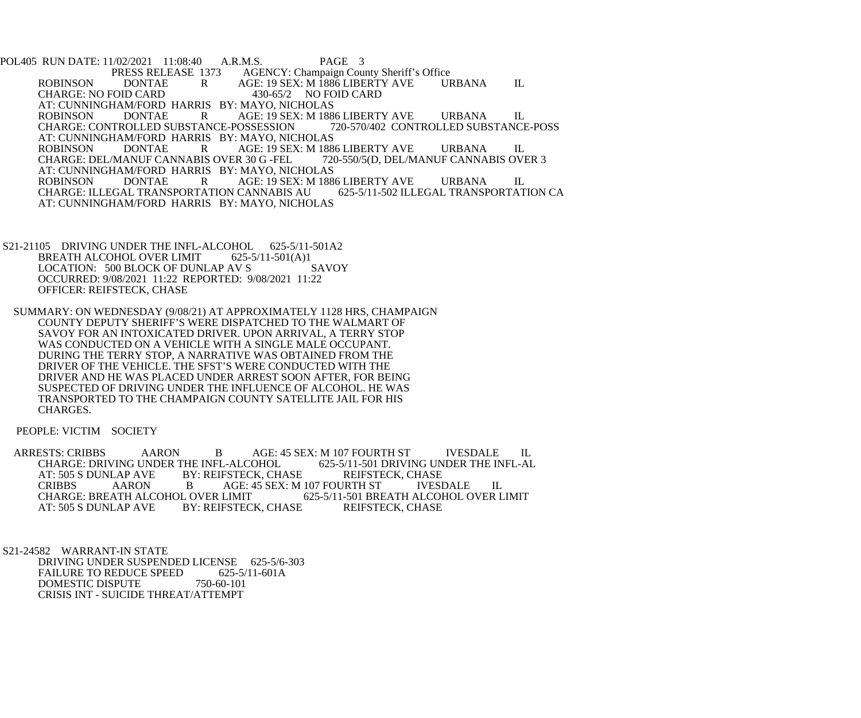POL405 RUN DATE: 11/02/2021 11:08:40 A.R.M.S. PAGE 3<br>PRESS RELEASE 1373 AGENCY: Champaign Cou 1373 AGENCY: Champaign County Sheriff's Office<br>R AGE: 19 SEX: M 1886 LIBERTY AVE UI ROBINSON DONTAE R AGE: 19 SEX: M 1886 LIBERTY AVE URBANA IL<br>CHARGE: NO FOID CARD 430-65/2 NO FOID CARD CHARGE: NO FOID CARD 430-65/2 NO FOID CARD AT: CUNNINGHAM/FORD HARRIS BY: MAYO, NICHOLAS<br>ROBINSON DONTAE RAGE: 19 SEX: M 188 R
AGE: 19 SEX: M 1886 LIBERTY AVE URBANA IL<br>ANCE-POSSESSION 720-570/402 CONTROLLED SUBSTANCE-POSS CHARGE: CONTROLLED SUBSTANCE-POSSESSION AT: CUNNINGHAM/FORD HARRIS BY: MAYO, NICHOLAS<br>ROBINSON DONTAE RAGE: 19 SEX: M 188 AGE: 19 SEX: M 1886 LIBERTY AVE URBANA IL<br>R 30 G -FEL 720-550/5(D, DEL/MANUF CANNABIS OVER 3 CHARGE: DEL/MANUF CANNABIS OVER 30 G -FEL AT: CUNNINGHAM/FORD HARRIS BY: MAYO, NICHOLAS<br>ROBINSON DONTAE RAGE: 19 SEX: M 188 ROBINSON DONTAE R AGE: 19 SEX: M 1886 LIBERTY AVE URBANA IL CHARGE: ILLEGAL TRANSPORTATION CA CHARGE: ILLEGAL TRANSPORTATION CANNABIS AU AT: CUNNINGHAM/FORD HARRIS BY: MAYO, NICHOLAS

- S21-21105 DRIVING UNDER THE INFL-ALCOHOL 625-5/11-501A2<br>BREATH ALCOHOL OVER LIMIT 625-5/11-501(A)1 BREATH ALCOHOL OVER LIMIT 625-5/11-501(A)1<br>LOCATION: 500 BLOCK OF DUNLAP AV S SAVOY LOCATION: 500 BLOCK OF DUNLAP AV S OCCURRED: 9/08/2021 11:22 REPORTED: 9/08/2021 11:22 OFFICER: REIFSTECK, CHASE
	- SUMMARY: ON WEDNESDAY (9/08/21) AT APPROXIMATELY 1128 HRS, CHAMPAIGN COUNTY DEPUTY SHERIFF'S WERE DISPATCHED TO THE WALMART OF SAVOY FOR AN INTOXICATED DRIVER. UPON ARRIVAL, A TERRY STOP WAS CONDUCTED ON A VEHICLE WITH A SINGLE MALE OCCUPANT. DURING THE TERRY STOP, A NARRATIVE WAS OBTAINED FROM THE DRIVER OF THE VEHICLE. THE SFST'S WERE CONDUCTED WITH THE DRIVER AND HE WAS PLACED UNDER ARREST SOON AFTER, FOR BEING SUSPECTED OF DRIVING UNDER THE INFLUENCE OF ALCOHOL. HE WAS TRANSPORTED TO THE CHAMPAIGN COUNTY SATELLITE JAIL FOR HIS CHARGES.

PEOPLE: VICTIM SOCIETY

ARRESTS: CRIBBS AARON B AGE: 45 SEX: M 107 FOURTH ST IVESDALE IL CHARGE: DRIVING UNDER THE INFL-ALCOHOL 625-5/11-501 DRIVING UNDER THE INFL-AL CHARGE: DRIVING UNDER THE INFL-ALCOHOL 625-5/11-501 DRIVING UN<br>AT: 505 S DUNLAP AVE BY: REIFSTECK. CHASE REIFSTECK. CHASE BY: REIFSTECK, CHASE REIFSTECK, CHASE<br>B AGE: 45 SEX: M 107 FOURTH ST IVESDALE CRIBBS AARON B AGE: 45 SEX: M 107 FOURTH ST IVESDALE IL CHARGE: BREATH ALCOHOL OVER LIMIT 625-5/11-501 BREATH ALCOHOL OVER L CHARGE: BREATH ALCOHOL OVER LIMIT 625-5/11-501 BREATH ALCOHOL OVER LIMIT AT: 505 S DUNLAP AVE BY: REIFSTECK, CHASE REIFSTECK, CHASE BY: REIFSTECK, CHASE

 S21-24582 WARRANT-IN STATE DRIVING UNDER SUSPENDED LICENSE 625-5/6-303<br>FAILURE TO REDUCE SPEED 625-5/11-601A FAILURE TO REDUCE SPEED DOMESTIC DISPUTE 750-60-101 CRISIS INT - SUICIDE THREAT/ATTEMPT